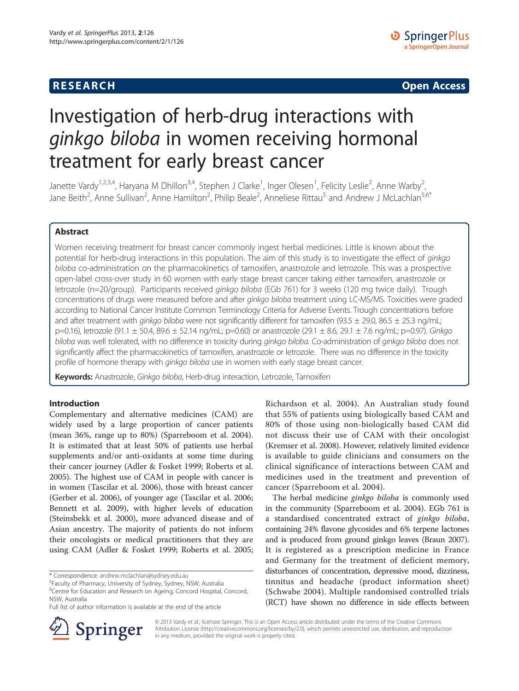## **RESEARCH RESEARCH CONSUMING ACCESS**

# Investigation of herb-drug interactions with ginkgo biloba in women receiving hormonal treatment for early breast cancer

Janette Vardy<sup>1,2,3,4</sup>, Haryana M Dhillon<sup>3,4</sup>, Stephen J Clarke<sup>1</sup>, Inger Olesen<sup>1</sup>, Felicity Leslie<sup>2</sup>, Anne Warby<sup>2</sup> , Jane Beith<sup>2</sup>, Anne Sullivan<sup>2</sup>, Anne Hamilton<sup>2</sup>, Philip Beale<sup>2</sup>, Anneliese Rittau<sup>5</sup> and Andrew J McLachlan<sup>5,6\*</sup>

## Abstract

Women receiving treatment for breast cancer commonly ingest herbal medicines. Little is known about the potential for herb-drug interactions in this population. The aim of this study is to investigate the effect of ginkgo biloba co-administration on the pharmacokinetics of tamoxifen, anastrozole and letrozole. This was a prospective open-label cross-over study in 60 women with early stage breast cancer taking either tamoxifen, anastrozole or letrozole (n=20/group). Participants received ginkgo biloba (EGb 761) for 3 weeks (120 mg twice daily). Trough concentrations of drugs were measured before and after ginkgo biloba treatment using LC-MS/MS. Toxicities were graded according to National Cancer Institute Common Terminology Criteria for Adverse Events. Trough concentrations before and after treatment with ginkgo biloba were not significantly different for tamoxifen (93.5  $\pm$  29.0, 86.5  $\pm$  25.3 ng/mL; p=0.16), letrozole (91.1 ± 50.4, 89.6 ± 52.14 ng/mL; p=0.60) or anastrozole (29.1 ± 8.6, 29.1 ± 7.6 ng/mL; p=0.97). Ginkgo biloba was well tolerated, with no difference in toxicity during ginkgo biloba. Co-administration of ginkgo biloba does not significantly affect the pharmacokinetics of tamoxifen, anastrozole or letrozole. There was no difference in the toxicity profile of hormone therapy with ginkgo biloba use in women with early stage breast cancer.

Keywords: Anastrozole, Ginkgo biloba, Herb-drug interaction, Letrozole, Tamoxifen

## Introduction

Complementary and alternative medicines (CAM) are widely used by a large proportion of cancer patients (mean 36%, range up to 80%) (Sparreboom et al. [2004](#page-4-0)). It is estimated that at least 50% of patients use herbal supplements and/or anti-oxidants at some time during their cancer journey (Adler & Fosket [1999](#page-3-0); Roberts et al. [2005](#page-4-0)). The highest use of CAM in people with cancer is in women (Tascilar et al. [2006\)](#page-4-0), those with breast cancer (Gerber et al. [2006\)](#page-3-0), of younger age (Tascilar et al. [2006](#page-4-0); Bennett et al. [2009](#page-3-0)), with higher levels of education (Steinsbekk et al. [2000\)](#page-4-0), more advanced disease and of Asian ancestry. The majority of patients do not inform their oncologists or medical practitioners that they are using CAM (Adler & Fosket [1999;](#page-3-0) Roberts et al. [2005](#page-4-0);



The herbal medicine ginkgo biloba is commonly used in the community (Sparreboom et al. [2004](#page-4-0)). EGb 761 is a standardised concentrated extract of ginkgo biloba, containing 24% flavone glycosides and 6% terpene lactones and is produced from ground ginkgo leaves (Braun [2007](#page-3-0)). It is registered as a prescription medicine in France and Germany for the treatment of deficient memory, disturbances of concentration, depressive mood, dizziness, tinnitus and headache (product information sheet) (Schwabe [2004\)](#page-4-0). Multiple randomised controlled trials (RCT) have shown no difference in side effects between



© 2013 Vardy et al.; licensee Springer. This is an Open Access article distributed under the terms of the Creative Commons Attribution License [\(http://creativecommons.org/licenses/by/2.0\)](http://creativecommons.org/licenses/by/2.0), which permits unrestricted use, distribution, and reproduction in any medium, provided the original work is properly cited.

<sup>\*</sup> Correspondence: [andrew.mclachlan@sydney.edu.au](mailto:andrew.mclachlan@sydney.edu.au) <sup>5</sup>

Faculty of Pharmacy, University of Sydney, Sydney, NSW, Australia

<sup>&</sup>lt;sup>6</sup>Centre for Education and Research on Ageing, Concord Hospital, Concord, NSW, Australia

Full list of author information is available at the end of the article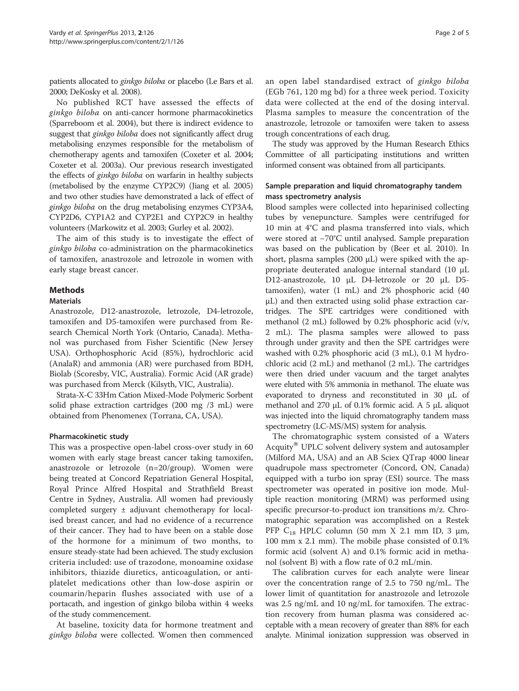patients allocated to ginkgo biloba or placebo (Le Bars et al. [2000;](#page-4-0) DeKosky et al. [2008\)](#page-3-0).

No published RCT have assessed the effects of ginkgo biloba on anti-cancer hormone pharmacokinetics (Sparreboom et al. [2004](#page-4-0)), but there is indirect evidence to suggest that *ginkgo biloba* does not significantly affect drug metabolising enzymes responsible for the metabolism of chemotherapy agents and tamoxifen (Coxeter et al. [2004](#page-3-0); Coxeter et al. [2003a\)](#page-3-0). Our previous research investigated the effects of ginkgo biloba on warfarin in healthy subjects (metabolised by the enzyme CYP2C9) (Jiang et al. [2005](#page-3-0)) and two other studies have demonstrated a lack of effect of ginkgo biloba on the drug metabolising enzymes CYP3A4, CYP2D6, CYP1A2 and CYP2E1 and CYP2C9 in healthy volunteers (Markowitz et al. [2003;](#page-4-0) Gurley et al. [2002](#page-3-0)).

The aim of this study is to investigate the effect of ginkgo biloba co-administration on the pharmacokinetics of tamoxifen, anastrozole and letrozole in women with early stage breast cancer.

## Methods

### **Materials**

Anastrozole, D12-anastrozole, letrozole, D4-letrozole, tamoxifen and D5-tamoxifen were purchased from Research Chemical North York (Ontario, Canada). Methanol was purchased from Fisher Scientific (New Jersey USA). Orthophosphoric Acid (85%), hydrochloric acid (AnalaR) and ammonia (AR) were purchased from BDH, Biolab (Scoresby, VIC, Australia). Formic Acid (AR grade) was purchased from Merck (Kilsyth, VIC, Australia).

Strata-X-C 33Hm Cation Mixed-Mode Polymeric Sorbent solid phase extraction cartridges (200 mg /3 mL) were obtained from Phenomenex (Torrana, CA, USA).

### Pharmacokinetic study

This was a prospective open-label cross-over study in 60 women with early stage breast cancer taking tamoxifen, anastrozole or letrozole (n=20/group). Women were being treated at Concord Repatriation General Hospital, Royal Prince Alfred Hospital and Strathfield Breast Centre in Sydney, Australia. All women had previously completed surgery ± adjuvant chemotherapy for localised breast cancer, and had no evidence of a recurrence of their cancer. They had to have been on a stable dose of the hormone for a minimum of two months, to ensure steady-state had been achieved. The study exclusion criteria included: use of trazodone, monoamine oxidase inhibitors, thiazide diuretics, anticoagulation, or antiplatelet medications other than low-dose aspirin or coumarin/heparin flushes associated with use of a portacath, and ingestion of ginkgo biloba within 4 weeks of the study commencement.

At baseline, toxicity data for hormone treatment and ginkgo biloba were collected. Women then commenced an open label standardised extract of ginkgo biloba (EGb 761, 120 mg bd) for a three week period. Toxicity data were collected at the end of the dosing interval. Plasma samples to measure the concentration of the anastrozole, letrozole or tamoxifen were taken to assess trough concentrations of each drug.

The study was approved by the Human Research Ethics Committee of all participating institutions and written informed consent was obtained from all participants.

## Sample preparation and liquid chromatography tandem mass spectrometry analysis

Blood samples were collected into heparinised collecting tubes by venepuncture. Samples were centrifuged for 10 min at 4°C and plasma transferred into vials, which were stored at −70°C until analysed. Sample preparation was based on the publication by (Beer et al. [2010](#page-3-0)). In short, plasma samples (200  $\mu$ L) were spiked with the appropriate deuterated analogue internal standard (10 μL D12-anastrozole, 10 μL D4-letrozole or 20 μL D5 tamoxifen), water (1 mL) and 2% phosphoric acid (40 μL) and then extracted using solid phase extraction cartridges. The SPE cartridges were conditioned with methanol (2 mL) followed by 0.2% phosphoric acid (v/v, 2 mL). The plasma samples were allowed to pass through under gravity and then the SPE cartridges were washed with 0.2% phosphoric acid (3 mL), 0.1 M hydrochloric acid (2 mL) and methanol (2 mL). The cartridges were then dried under vacuum and the target analytes were eluted with 5% ammonia in methanol. The eluate was evaporated to dryness and reconstituted in 30 μL of methanol and 270 μL of 0.1% formic acid. A 5 μL aliquot was injected into the liquid chromatography tandem mass spectrometry (LC-MS/MS) system for analysis.

The chromatographic system consisted of a Waters Acquity® UPLC solvent delivery system and autosampler (Milford MA, USA) and an AB Sciex QTrap 4000 linear quadrupole mass spectrometer (Concord, ON, Canada) equipped with a turbo ion spray (ESI) source. The mass spectrometer was operated in positive ion mode. Multiple reaction monitoring (MRM) was performed using specific precursor-to-product ion transitions m/z. Chromatographic separation was accomplished on a Restek PFP  $C_{18}$  HPLC column (50 mm X 2.1 mm ID, 3  $\mu$ m, 100 mm x 2.1 mm). The mobile phase consisted of 0.1% formic acid (solvent A) and 0.1% formic acid in methanol (solvent B) with a flow rate of 0.2 mL/min.

The calibration curves for each analyte were linear over the concentration range of 2.5 to 750 ng/mL. The lower limit of quantitation for anastrozole and letrozole was 2.5 ng/mL and 10 ng/mL for tamoxifen. The extraction recovery from human plasma was considered acceptable with a mean recovery of greater than 88% for each analyte. Minimal ionization suppression was observed in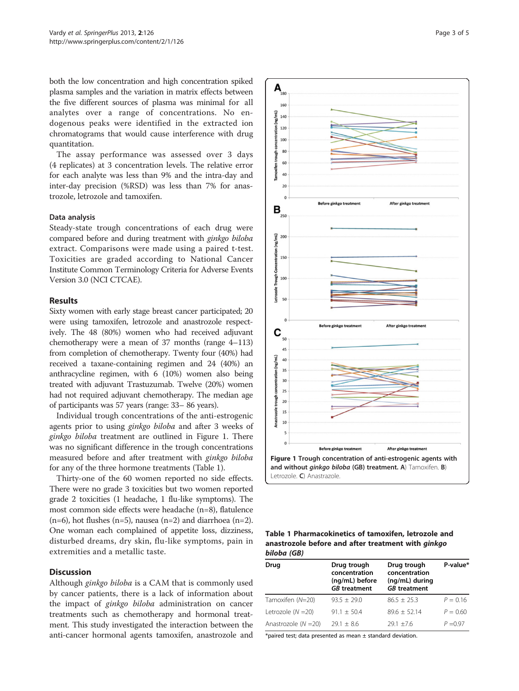both the low concentration and high concentration spiked plasma samples and the variation in matrix effects between the five different sources of plasma was minimal for all analytes over a range of concentrations. No endogenous peaks were identified in the extracted ion chromatograms that would cause interference with drug quantitation.

The assay performance was assessed over 3 days (4 replicates) at 3 concentration levels. The relative error for each analyte was less than 9% and the intra-day and inter-day precision (%RSD) was less than 7% for anastrozole, letrozole and tamoxifen.

## Data analysis

Steady-state trough concentrations of each drug were compared before and during treatment with ginkgo biloba extract. Comparisons were made using a paired t-test. Toxicities are graded according to National Cancer Institute Common Terminology Criteria for Adverse Events Version 3.0 (NCI CTCAE).

#### Results

Sixty women with early stage breast cancer participated; 20 were using tamoxifen, letrozole and anastrozole respectively. The 48 (80%) women who had received adjuvant chemotherapy were a mean of 37 months (range 4–113) from completion of chemotherapy. Twenty four (40%) had received a taxane-containing regimen and 24 (40%) an anthracycline regimen, with 6 (10%) women also being treated with adjuvant Trastuzumab. Twelve (20%) women had not required adjuvant chemotherapy. The median age of participants was 57 years (range: 33– 86 years).

Individual trough concentrations of the anti-estrogenic agents prior to using ginkgo biloba and after 3 weeks of ginkgo biloba treatment are outlined in Figure 1. There was no significant difference in the trough concentrations measured before and after treatment with ginkgo biloba for any of the three hormone treatments (Table 1).

Thirty-one of the 60 women reported no side effects. There were no grade 3 toxicities but two women reported grade 2 toxicities (1 headache, 1 flu-like symptoms). The most common side effects were headache (n=8), flatulence  $(n=6)$ , hot flushes  $(n=5)$ , nausea  $(n=2)$  and diarrhoea  $(n=2)$ . One woman each complained of appetite loss, dizziness, disturbed dreams, dry skin, flu-like symptoms, pain in extremities and a metallic taste.

## **Discussion**

Although ginkgo biloba is a CAM that is commonly used by cancer patients, there is a lack of information about the impact of ginkgo biloba administration on cancer treatments such as chemotherapy and hormonal treatment. This study investigated the interaction between the anti-cancer hormonal agents tamoxifen, anastrozole and



Table 1 Pharmacokinetics of tamoxifen, letrozole and anastrozole before and after treatment with ginkgo biloba (GB)

| Drug                   | Drug trough<br>concentration<br>(ng/mL) before<br><b>GB</b> treatment | Drug trough<br>concentration<br>(ng/mL) during<br><b>GB</b> treatment | P-value*   |
|------------------------|-----------------------------------------------------------------------|-----------------------------------------------------------------------|------------|
| Tamoxifen (N=20)       | $93.5 + 29.0$                                                         | $86.5 + 25.3$                                                         | $P = 0.16$ |
| Letrozole $(N = 20)$   | $91.1 + 50.4$                                                         | $89.6 + 52.14$                                                        | $P = 0.60$ |
| Anastrozole $(N = 20)$ | $29.1 + 8.6$                                                          | $29.1 + 7.6$                                                          | $P = 0.97$ |

\*paired test; data presented as mean  $\pm$  standard deviation.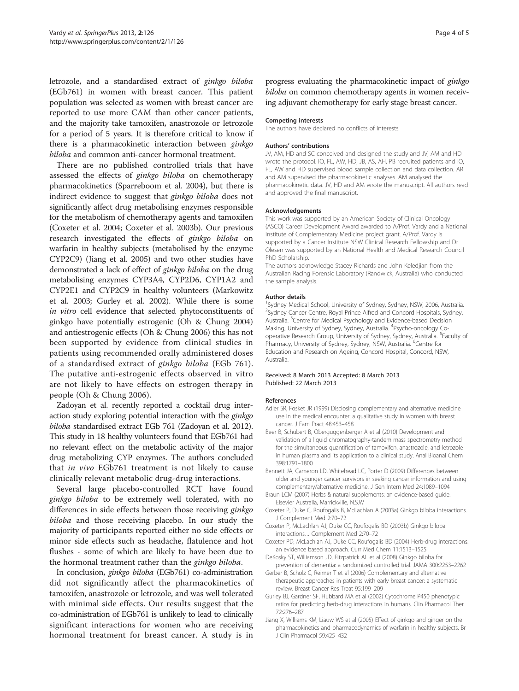<span id="page-3-0"></span>letrozole, and a standardised extract of ginkgo biloba (EGb761) in women with breast cancer. This patient population was selected as women with breast cancer are reported to use more CAM than other cancer patients, and the majority take tamoxifen, anastrozole or letrozole for a period of 5 years. It is therefore critical to know if there is a pharmacokinetic interaction between ginkgo biloba and common anti-cancer hormonal treatment.

There are no published controlled trials that have assessed the effects of ginkgo biloba on chemotherapy pharmacokinetics (Sparreboom et al. [2004\)](#page-4-0), but there is indirect evidence to suggest that ginkgo biloba does not significantly affect drug metabolising enzymes responsible for the metabolism of chemotherapy agents and tamoxifen (Coxeter et al. 2004; Coxeter et al. 2003b). Our previous research investigated the effects of ginkgo biloba on warfarin in healthy subjects (metabolised by the enzyme CYP2C9) (Jiang et al. 2005) and two other studies have demonstrated a lack of effect of ginkgo biloba on the drug metabolising enzymes CYP3A4, CYP2D6, CYP1A2 and CYP2E1 and CYP2C9 in healthy volunteers (Markowitz et al. [2003](#page-4-0); Gurley et al. 2002). While there is some in vitro cell evidence that selected phytoconstituents of ginkgo have potentially estrogenic (Oh & Chung [2004](#page-4-0)) and antiestrogenic effects (Oh & Chung [2006](#page-4-0)) this has not been supported by evidence from clinical studies in patients using recommended orally administered doses of a standardised extract of ginkgo biloba (EGb 761). The putative anti-estrogenic effects observed in vitro are not likely to have effects on estrogen therapy in people (Oh & Chung [2006](#page-4-0)).

Zadoyan et al. recently reported a cocktail drug interaction study exploring potential interaction with the ginkgo biloba standardised extract EGb 761 (Zadoyan et al. [2012](#page-4-0)). This study in 18 healthy volunteers found that EGb761 had no relevant effect on the metabolic activity of the major drug metabolizing CYP enzymes. The authors concluded that in vivo EGb761 treatment is not likely to cause clinically relevant metabolic drug-drug interactions.

Several large placebo-controlled RCT have found ginkgo biloba to be extremely well tolerated, with no differences in side effects between those receiving ginkgo biloba and those receiving placebo. In our study the majority of participants reported either no side effects or minor side effects such as headache, flatulence and hot flushes - some of which are likely to have been due to the hormonal treatment rather than the ginkgo biloba.

In conclusion, ginkgo biloba (EGb761) co-administration did not significantly affect the pharmacokinetics of tamoxifen, anastrozole or letrozole, and was well tolerated with minimal side effects. Our results suggest that the co-administration of EGb761 is unlikely to lead to clinically significant interactions for women who are receiving hormonal treatment for breast cancer. A study is in

progress evaluating the pharmacokinetic impact of ginkgo biloba on common chemotherapy agents in women receiving adjuvant chemotherapy for early stage breast cancer.

#### Competing interests

The authors have declared no conflicts of interests.

#### Authors' contributions

JV, AM, HD and SC conceived and designed the study and JV, AM and HD wrote the protocol. IO, FL, AW, HD, JB, AS, AH, PB recruited patients and IO, FL, AW and HD supervised blood sample collection and data collection. AR and AM supervised the pharmacokinetic analyses. AM analysed the pharmacokinetic data. JV, HD and AM wrote the manuscript. All authors read and approved the final manuscript.

#### Acknowledgements

This work was supported by an American Society of Clinical Oncology (ASCO) Career Development Award awarded to A/Prof. Vardy and a National Institute of Complementary Medicine project grant. A/Prof. Vardy is supported by a Cancer Institute NSW Clinical Research Fellowship and Dr Olesen was supported by an National Health and Medical Research Council PhD Scholarship.

The authors acknowledge Stacey Richards and John Keledjian from the Australian Racing Forensic Laboratory (Randwick, Australia) who conducted the sample analysis.

#### Author details

<sup>1</sup>Sydney Medical School, University of Sydney, Sydney, NSW, 2006, Australia. <sup>2</sup>Sydney Cancer Centre, Royal Prince Alfred and Concord Hospitals, Sydney Australia. <sup>3</sup>Centre for Medical Psychology and Evidence-based Decision Making, University of Sydney, Sydney, Australia. <sup>4</sup>Psycho-oncology Cooperative Research Group, University of Sydney, Sydney, Australia. <sup>5</sup>Faculty of Pharmacy, University of Sydney, Sydney, NSW, Australia. <sup>6</sup>Centre for Education and Research on Ageing, Concord Hospital, Concord, NSW, Australia.

#### Received: 8 March 2013 Accepted: 8 March 2013 Published: 22 March 2013

#### References

- Adler SR, Fosket JR (1999) Disclosing complementary and alternative medicine use in the medical encounter: a qualitative study in women with breast cancer. J Fam Pract 48:453–458
- Beer B, Schubert B, Oberguggenberger A et al (2010) Development and validation of a liquid chromatography-tandem mass spectrometry method for the simultaneous quantification of tamoxifen, anastrozole, and letrozole in human plasma and its application to a clinical study. Anal Bioanal Chem 398:1791–1800
- Bennett JA, Cameron LD, Whitehead LC, Porter D (2009) Differences between older and younger cancer survivors in seeking cancer information and using complementary/alternative medicine. J Gen Intern Med 24:1089–1094
- Braun LCM (2007) Herbs & natural supplements: an evidence-based guide. Elsevier Australia, Marrickville, N.S.W
- Coxeter P, Duke C, Roufogalis B, McLachlan A (2003a) Ginkgo biloba interactions. J Complement Med 2:70–72
- Coxeter P, McLachlan AJ, Duke CC, Roufogalis BD (2003b) Ginkgo biloba interactions. J Complement Med 2:70–72
- Coxeter PD, McLachlan AJ, Duke CC, Roufogalis BD (2004) Herb-drug interactions: an evidence based approach. Curr Med Chem 11:1513–1525
- DeKosky ST, Williamson JD, Fitzpatrick AL et al (2008) Ginkgo biloba for prevention of dementia: a randomized controlled trial. JAMA 300:2253–2262
- Gerber B, Scholz C, Reimer T et al (2006) Complementary and alternative therapeutic approaches in patients with early breast cancer: a systematic review. Breast Cancer Res Treat 95:199–209
- Gurley BJ, Gardner SF, Hubbard MA et al (2002) Cytochrome P450 phenotypic ratios for predicting herb-drug interactions in humans. Clin Pharmacol Ther 72:276–287
- Jiang X, Williams KM, Liauw WS et al (2005) Effect of ginkgo and ginger on the pharmacokinetics and pharmacodynamics of warfarin in healthy subjects. Br J Clin Pharmacol 59:425–432